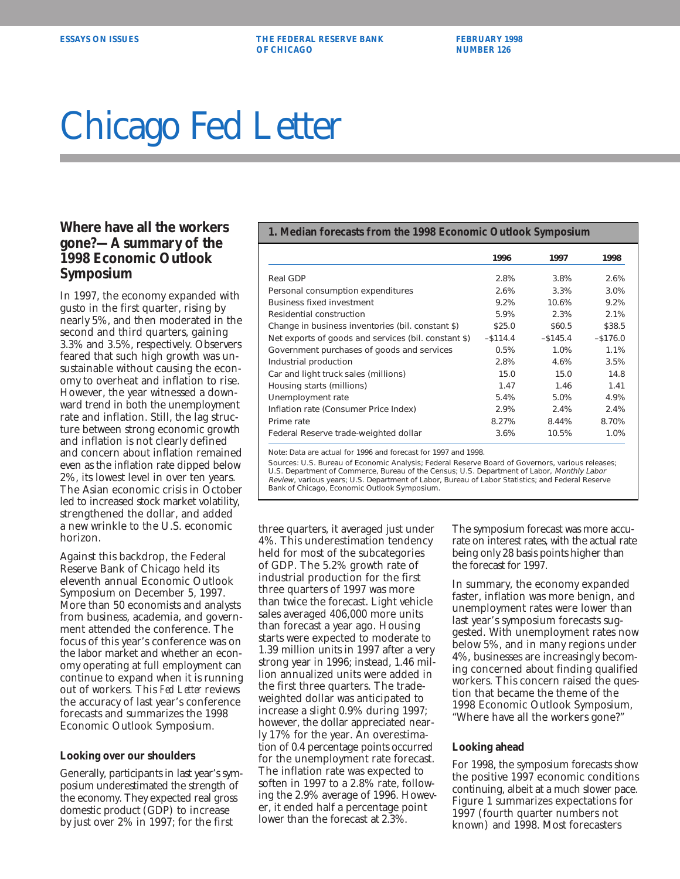**ESSAYS ON ISSUES THE FEDERAL RESERVE BANK FEBRUARY 1998 OF CHICAGO NUMBER 126** 

# Chicago Fed Letter

## **gone?—A summary of the 1998 Economic Outlook Symposium**

In 1997, the economy expanded with gusto in the first quarter, rising by nearly 5%, and then moderated in the second and third quarters, gaining 3.3% and 3.5%, respectively. Observers feared that such high growth was unsustainable without causing the economy to overheat and inflation to rise. However, the year witnessed a downward trend in both the unemployment rate and inflation. Still, the lag structure between strong economic growth and inflation is not clearly defined and concern about inflation remained even as the inflation rate dipped below 2%, its lowest level in over ten years. The Asian economic crisis in October led to increased stock market volatility, strengthened the dollar, and added a new wrinkle to the U.S. economic horizon.

Against this backdrop, the Federal Reserve Bank of Chicago held its eleventh annual Economic Outlook Symposium on December 5, 1997. More than 50 economists and analysts from business, academia, and government attended the conference. The focus of this year's conference was on the labor market and whether an economy operating at full employment can continue to expand when it is running out of workers. This *Fed Letter* reviews the accuracy of last year's conference forecasts and summarizes the 1998 Economic Outlook Symposium.

#### **Looking over our shoulders**

Generally, participants in last year's symposium underestimated the strength of the economy. They expected real gross domestic product (GDP) to increase by just over 2% in 1997; for the first

### **Where have all the workers** 1. Median forecasts from the 1998 Economic Outlook Symposium

|                                                      | 1996        | 1997        | 1998        |
|------------------------------------------------------|-------------|-------------|-------------|
| Real GDP                                             | 2.8%        | 3.8%        | 2.6%        |
| Personal consumption expenditures                    | 2.6%        | 3.3%        | 3.0%        |
| <b>Business fixed investment</b>                     | 9.2%        | 10.6%       | 9.2%        |
| Residential construction                             | 5.9%        | 2.3%        | 2.1%        |
| Change in business inventories (bil. constant \$)    | \$25.0      | \$60.5      | \$38.5      |
| Net exports of goods and services (bil. constant \$) | $-$ \$114.4 | $-$ \$145.4 | $-$ \$176.0 |
| Government purchases of goods and services           | 0.5%        | 1.0%        | 1.1%        |
| Industrial production                                | 2.8%        | 4.6%        | 3.5%        |
| Car and light truck sales (millions)                 | 15.0        | 15.0        | 14.8        |
| Housing starts (millions)                            | 1.47        | 1.46        | 1.41        |
| Unemployment rate                                    | 5.4%        | 5.0%        | 4.9%        |
| Inflation rate (Consumer Price Index)                | 2.9%        | 2.4%        | 2.4%        |
| Prime rate                                           | 8.27%       | 8.44%       | 8.70%       |
| Federal Reserve trade-weighted dollar                | 3.6%        | 10.5%       | 1.0%        |

Note: Data are actual for 1996 and forecast for 1997 and 1998.

Sources: U.S. Bureau of Economic Analysis; Federal Reserve Board of Governors, various releases; U.S. Department of Commerce, Bureau of the Census; U.S. Department of Labor, Monthly Labor Review, various years; U.S. Department of Labor, Bureau of Labor Statistics; and Federal Reserve Bank of Chicago, Economic Outlook Symposium.

three quarters, it averaged just under 4%. This underestimation tendency held for most of the subcategories of GDP. The 5.2% growth rate of industrial production for the first three quarters of 1997 was more than twice the forecast. Light vehicle sales averaged 406,000 more units than forecast a year ago. Housing starts were expected to moderate to 1.39 million units in 1997 after a very strong year in 1996; instead, 1.46 million annualized units were added in the first three quarters. The tradeweighted dollar was anticipated to increase a slight 0.9% during 1997; however, the dollar appreciated nearly 17% for the year. An overestimation of 0.4 percentage points occurred for the unemployment rate forecast. The inflation rate was expected to soften in 1997 to a 2.8% rate, following the 2.9% average of 1996. However, it ended half a percentage point lower than the forecast at 2.3%.

The symposium forecast was more accurate on interest rates, with the actual rate being only 28 basis points higher than the forecast for 1997.

In summary, the economy expanded faster, inflation was more benign, and unemployment rates were lower than last year's symposium forecasts suggested. With unemployment rates now below 5%, and in many regions under 4%, businesses are increasingly becoming concerned about finding qualified workers. This concern raised the question that became the theme of the 1998 Economic Outlook Symposium, "Where have all the workers gone?"

#### **Looking ahead**

For 1998, the symposium forecasts show the positive 1997 economic conditions continuing, albeit at a much slower pace. Figure 1 summarizes expectations for 1997 (fourth quarter numbers not known) and 1998. Most forecasters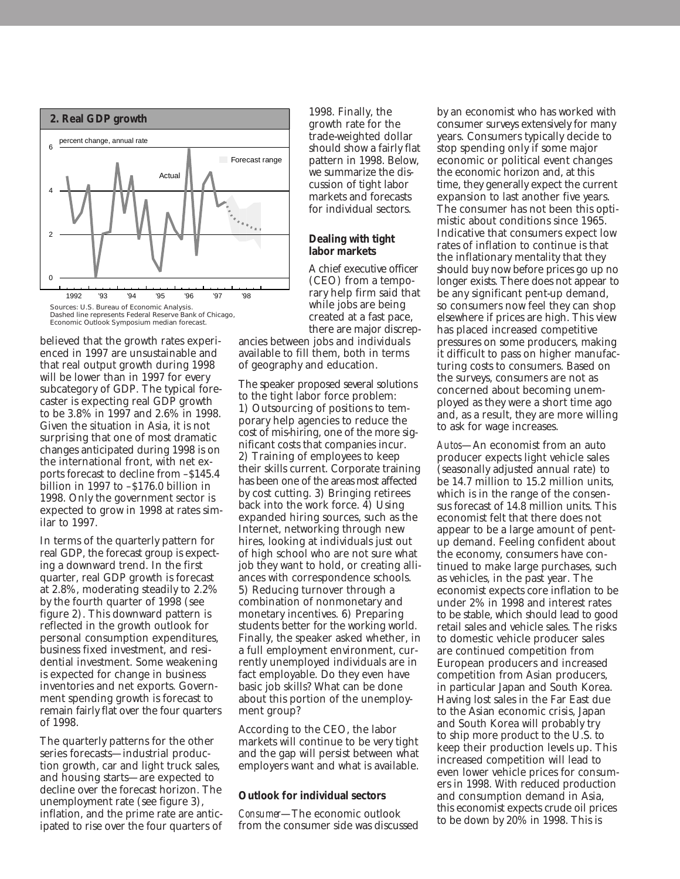

Dashed line represents Federal Reserve Bank of Chicago, Economic Outlook Symposium median forecast.

believed that the growth rates experienced in 1997 are unsustainable and that real output growth during 1998 will be lower than in 1997 for every subcategory of GDP. The typical forecaster is expecting real GDP growth to be 3.8% in 1997 and 2.6% in 1998. Given the situation in Asia, it is not surprising that one of most dramatic changes anticipated during 1998 is on the international front, with net exports forecast to decline from –\$145.4 billion in 1997 to –\$176.0 billion in 1998. Only the government sector is expected to grow in 1998 at rates similar to 1997.

In terms of the quarterly pattern for real GDP, the forecast group is expecting a downward trend. In the first quarter, real GDP growth is forecast at 2.8%, moderating steadily to 2.2% by the fourth quarter of 1998 (see figure 2). This downward pattern is reflected in the growth outlook for personal consumption expenditures, business fixed investment, and residential investment. Some weakening is expected for change in business inventories and net exports. Government spending growth is forecast to remain fairly flat over the four quarters of 1998.

The quarterly patterns for the other series forecasts—industrial production growth, car and light truck sales, and housing starts—are expected to decline over the forecast horizon. The unemployment rate (see figure 3), inflation, and the prime rate are anticipated to rise over the four quarters of 1998. Finally, the growth rate for the trade-weighted dollar should show a fairly flat pattern in 1998. Below, we summarize the discussion of tight labor markets and forecasts for individual sectors.

#### **Dealing with tight labor markets**

A chief executive officer (CEO) from a temporary help firm said that while jobs are being created at a fast pace, there are major discrep-

ancies between jobs and individuals available to fill them, both in terms of geography and education.

The speaker proposed several solutions to the tight labor force problem: 1) Outsourcing of positions to temporary help agencies to reduce the cost of mis-hiring, one of the more significant costs that companies incur. 2) Training of employees to keep their skills current. Corporate training has been one of the areas most affected by cost cutting. 3) Bringing retirees back into the work force. 4) Using expanded hiring sources, such as the Internet, networking through new hires, looking at individuals just out of high school who are not sure what job they want to hold, or creating alliances with correspondence schools. 5) Reducing turnover through a combination of nonmonetary and monetary incentives. 6) Preparing students better for the working world. Finally, the speaker asked whether, in a full employment environment, currently unemployed individuals are in fact employable. Do they even have basic job skills? What can be done about this portion of the unemployment group?

According to the CEO, the labor markets will continue to be very tight and the gap will persist between what employers want and what is available.

#### **Outlook for individual sectors**

*Consumer*—The economic outlook from the consumer side was discussed by an economist who has worked with consumer surveys extensively for many years. Consumers typically decide to stop spending only if some major economic or political event changes the economic horizon and, at this time, they generally expect the current expansion to last another five years. The consumer has not been this optimistic about conditions since 1965. Indicative that consumers expect low rates of inflation to continue is that the inflationary mentality that they should buy now before prices go up no longer exists. There does not appear to be any significant pent-up demand, so consumers now feel they can shop elsewhere if prices are high. This view has placed increased competitive pressures on some producers, making it difficult to pass on higher manufacturing costs to consumers. Based on the surveys, consumers are not as concerned about becoming unemployed as they were a short time ago and, as a result, they are more willing to ask for wage increases.

*Autos*—An economist from an auto producer expects light vehicle sales (seasonally adjusted annual rate) to be 14.7 million to 15.2 million units, which is in the range of the consensus forecast of 14.8 million units. This economist felt that there does not appear to be a large amount of pentup demand. Feeling confident about the economy, consumers have continued to make large purchases, such as vehicles, in the past year. The economist expects core inflation to be under 2% in 1998 and interest rates to be stable, which should lead to good retail sales and vehicle sales. The risks to domestic vehicle producer sales are continued competition from European producers and increased competition from Asian producers, in particular Japan and South Korea. Having lost sales in the Far East due to the Asian economic crisis, Japan and South Korea will probably try to ship more product to the U.S. to keep their production levels up. This increased competition will lead to even lower vehicle prices for consumers in 1998. With reduced production and consumption demand in Asia, this economist expects crude oil prices to be down by 20% in 1998. This is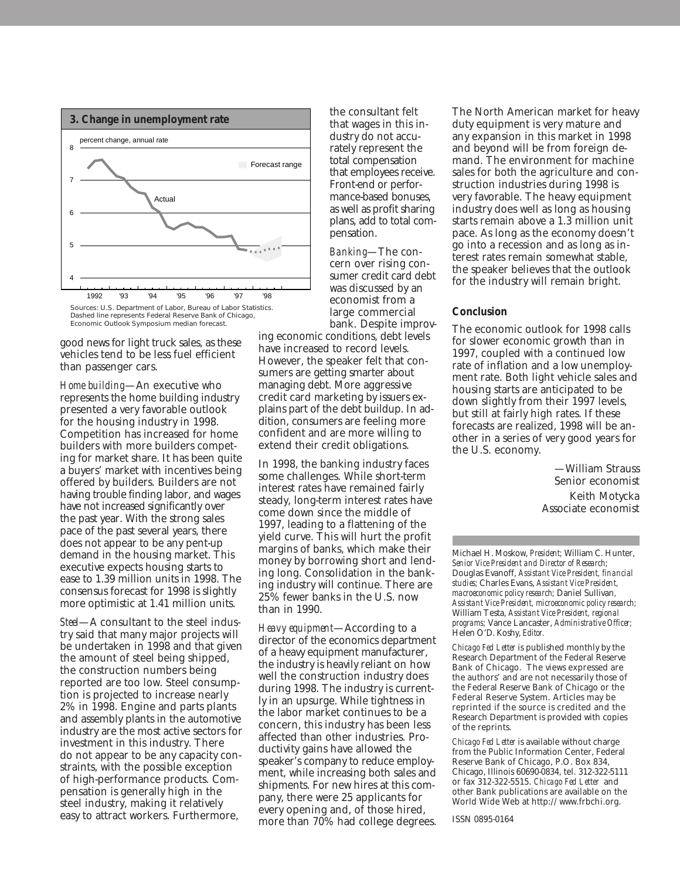

Dashed line represents Federal Reserve Bank of Chicago, Economic Outlook Symposium median forecast.

good news for light truck sales, as these vehicles tend to be less fuel efficient than passenger cars.

*Home building*—An executive who represents the home building industry presented a very favorable outlook for the housing industry in 1998. Competition has increased for home builders with more builders competing for market share. It has been quite a buyers' market with incentives being offered by builders. Builders are not having trouble finding labor, and wages have not increased significantly over the past year. With the strong sales pace of the past several years, there does not appear to be any pent-up demand in the housing market. This executive expects housing starts to ease to 1.39 million units in 1998. The consensus forecast for 1998 is slightly more optimistic at 1.41 million units.

*Steel*—A consultant to the steel industry said that many major projects will be undertaken in 1998 and that given the amount of steel being shipped, the construction numbers being reported are too low. Steel consumption is projected to increase nearly 2% in 1998. Engine and parts plants and assembly plants in the automotive industry are the most active sectors for investment in this industry. There do not appear to be any capacity constraints, with the possible exception of high-performance products. Compensation is generally high in the steel industry, making it relatively easy to attract workers. Furthermore,

the consultant felt that wages in this industry do not accurately represent the total compensation that employees receive. Front-end or performance-based bonuses, as well as profit sharing plans, add to total compensation.

*Banking*—The concern over rising consumer credit card debt was discussed by an economist from a large commercial bank. Despite improv-

ing economic conditions, debt levels have increased to record levels. However, the speaker felt that consumers are getting smarter about managing debt. More aggressive credit card marketing by issuers explains part of the debt buildup. In addition, consumers are feeling more confident and are more willing to extend their credit obligations.

In 1998, the banking industry faces some challenges. While short-term interest rates have remained fairly steady, long-term interest rates have come down since the middle of 1997, leading to a flattening of the yield curve. This will hurt the profit margins of banks, which make their money by borrowing short and lending long. Consolidation in the banking industry will continue. There are 25% fewer banks in the U.S. now than in 1990.

*Heavy equipment*—According to a director of the economics department of a heavy equipment manufacturer, the industry is heavily reliant on how well the construction industry does during 1998. The industry is currently in an upsurge. While tightness in the labor market continues to be a concern, this industry has been less affected than other industries. Productivity gains have allowed the speaker's company to reduce employment, while increasing both sales and shipments. For new hires at this company, there were 25 applicants for every opening and, of those hired, more than 70% had college degrees. The North American market for heavy duty equipment is very mature and any expansion in this market in 1998 and beyond will be from foreign demand. The environment for machine sales for both the agriculture and construction industries during 1998 is very favorable. The heavy equipment industry does well as long as housing starts remain above a 1.3 million unit pace. As long as the economy doesn't go into a recession and as long as interest rates remain somewhat stable, the speaker believes that the outlook for the industry will remain bright.

#### **Conclusion**

The economic outlook for 1998 calls for slower economic growth than in 1997, coupled with a continued low rate of inflation and a low unemployment rate. Both light vehicle sales and housing starts are anticipated to be down slightly from their 1997 levels, but still at fairly high rates. If these forecasts are realized, 1998 will be another in a series of very good years for the U.S. economy.

> —William Strauss Senior economist Keith Motycka Associate economist

Michael H. Moskow, *President;* William C. Hunter, *Senior Vice President and Director of Research;* Douglas Evanoff, *Assistant Vice President, financial studies;* Charles Evans, *Assistant Vice President, macroeconomic policy research;* Daniel Sullivan*, Assistant Vice President, microeconomic policy research;* William Testa, *Assistant Vice President, regional programs;* Vance Lancaster, *Administrative Officer;* Helen O'D. Koshy, *Editor.*

*Chicago Fed Letter* is published monthly by the Research Department of the Federal Reserve Bank of Chicago. The views expressed are the authors' and are not necessarily those of the Federal Reserve Bank of Chicago or the Federal Reserve System. Articles may be reprinted if the source is credited and the Research Department is provided with copies of the reprints.

*Chicago Fed Letter* is available without charge from the Public Information Center, Federal Reserve Bank of Chicago, P.O. Box 834, Chicago, Illinois 60690-0834, tel. 312-322-5111 or fax 312-322-5515. *Chicago Fed Letter* and other Bank publications are available on the World Wide Web at http://www.frbchi.org.

ISSN 0895-0164